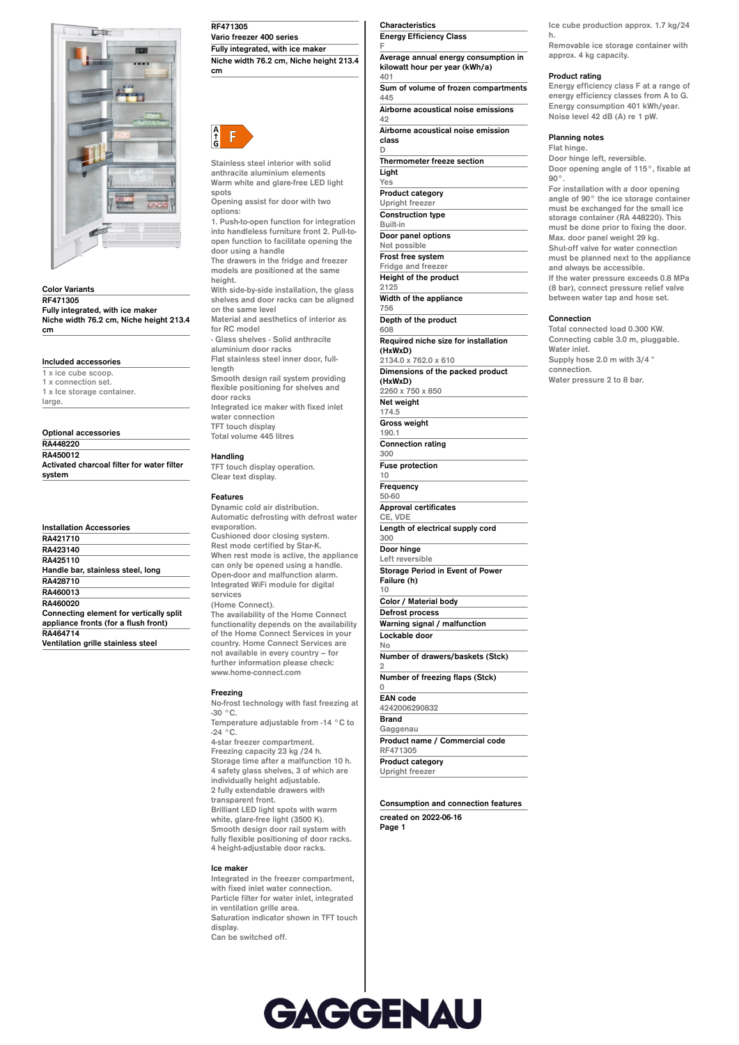

# **Color Variants**

**RF471305 Fully integrated, with ice maker Niche width 76.2 cm, Niche height 213.4 cm**

### **Included accessories**

**1 x ice cube scoop. 1 x connection set. 1 x Ice storage container. large.**

#### **Optional accessories RA448220 RA450012 Activated charcoal filter for water filter system**

| Installation Accessories                  |
|-------------------------------------------|
| RA421710                                  |
| RA423140                                  |
| RA425110                                  |
| Handle bar, stainless steel, long         |
| RA428710                                  |
| RA460013                                  |
| <b>RA460020</b>                           |
| Connecting element for vertically split   |
| appliance fronts (for a flush front)      |
| RA464714                                  |
| <b>Ventilation grille stainless steel</b> |

**Ventilation grille stainless steel**

**RF471305**

**Vario freezer 400 series Fully integrated, with ice maker Niche width 76.2 cm, Niche height 213.4 cm**



**Stainless steel interior with solid anthracite aluminium elements Warm white and glare-free LED light spots**

**Opening assist for door with two options:**

**1. Push-to-open function for integration into handleless furniture front 2. Pull-toopen function to facilitate opening the door using a handle The drawers in the fridge and freezer**

**models are positioned at the same height. With side-by-side installation, the glass**

**shelves and door racks can be aligned on the same level Material and aesthetics of interior as for RC model - Glass shelves - Solid anthracite aluminium door racks**

**Flat stainless steel inner door, fulllength**

**Smooth design rail system providing flexible positioning for shelves and door racks Integrated ice maker with fixed inlet water connection TFT touch display Total volume 445 litres**

## **Handling**

**TFT touch display operation. Clear text display.**

## **Features**

**Dynamic cold air distribution. Automatic defrosting with defrost water evaporation. Cushioned door closing system. Rest mode certified by Star-K. When rest mode is active, the appliance can only be opened using a handle. Open-door and malfunction alarm. Integrated WiFi module for digital services (Home Connect). The availability of the Home Connect**

**functionality depends on the availability of the Home Connect Services in your country. Home Connect Services are not available in every country – for further information please check: www.home-connect.com**

### **Freezing**

**No-frost technology with fast freezing at -30 °C.**

**Temperature adjustable from -14 °C to -24 °C.**

**4-star freezer compartment. Freezing capacity 23 kg /24 h. Storage time after a malfunction 10 h. 4 safety glass shelves, 3 of which are individually height adjustable. 2 fully extendable drawers with transparent front. Brilliant LED light spots with warm white, glare-free light (3500 K). Smooth design door rail system with fully flexible positioning of door racks.**

**4 height-adjustable door racks.**

#### **Ice maker**

**Integrated in the freezer compartment, with fixed inlet water connection. Particle filter for water inlet, integrated in ventilation grille area. Saturation indicator shown in TFT touch display. Can be switched off.**

**Characteristics Energy Efficiency Class**

**F**

**Average annual energy consumption in kilowatt hour per year (kWh/a) 401**

**Sum of volume of frozen compartments 445 Airborne acoustical noise emissions**

**42 Airborne acoustical noise emission**

**class D Thermometer freeze section**

**Light Yes Product category Upright freezer Construction type Built-in Door panel options Not possible Frost free system Fridge and freezer Height of the product 2125 Width of the appliance 756 Depth of the product 608 Required niche size for installation (HxWxD) 2134.0 x 762.0 x 610 Dimensions of the packed product (HxWxD) 2260 x 750 x 850 Net weight 174.5 Gross weight 190.1 Connection rating 300 Fuse protection 10 Frequency 50-60 Approval certificates CE, VDE Length of electrical supply cord 300 Door hinge Left reversible Storage Period in Event of Power Failure (h) 10 Color / Material body Defrost process Warning signal / malfunction**

**Lockable door No**

**Number of drawers/baskets (Stck) 2**

**Number of freezing flaps (Stck)**

**0 EAN code 4242006290832 Brand**

**Gaggenau Product name / Commercial code RF471305 Product category Upright freezer**

**Consumption and connection features created on 2022-06-16 Page 1**

**Ice cube production approx. 1.7 kg/24 h.**

**Removable ice storage container with approx. 4 kg capacity.**

### **Product rating**

**Energy efficiency class F at a range of energy efficiency classes from A to G. Energy consumption 401 kWh/year. Noise level 42 dB (A) re 1 pW.**

### **Planning notes**

**Flat hinge.**

**Door hinge left, reversible. Door opening angle of 115°, fixable at 90°. For installation with a door opening angle of 90° the ice storage container must be exchanged for the small ice storage container (RA 448220). This must be done prior to fixing the door. Max. door panel weight 29 kg. Shut-off valve for water connection must be planned next to the appliance and always be accessible. If the water pressure exceeds 0.8 MPa (8 bar), connect pressure relief valve between water tap and hose set.**

#### **Connection**

**Total connected load 0.300 KW. Connecting cable 3.0 m, pluggable. Water inlet. Supply hose 2.0 m with 3/4 " connection. Water pressure 2 to 8 bar.**